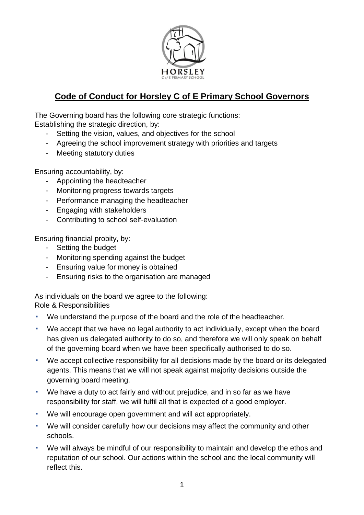

# **Code of Conduct for Horsley C of E Primary School Governors**

The Governing board has the following core strategic functions:

Establishing the strategic direction, by:

- Setting the vision, values, and objectives for the school
- Agreeing the school improvement strategy with priorities and targets
- Meeting statutory duties

Ensuring accountability, by:

- Appointing the headteacher
- Monitoring progress towards targets
- Performance managing the headteacher
- Engaging with stakeholders
- Contributing to school self-evaluation

Ensuring financial probity, by:

- Setting the budget
- Monitoring spending against the budget
- Ensuring value for money is obtained
- Ensuring risks to the organisation are managed

## As individuals on the board we agree to the following:

Role & Responsibilities

- We understand the purpose of the board and the role of the headteacher.
- We accept that we have no legal authority to act individually, except when the board has given us delegated authority to do so, and therefore we will only speak on behalf of the governing board when we have been specifically authorised to do so.
- We accept collective responsibility for all decisions made by the board or its delegated agents. This means that we will not speak against majority decisions outside the governing board meeting.
- We have a duty to act fairly and without prejudice, and in so far as we have responsibility for staff, we will fulfil all that is expected of a good employer.
- We will encourage open government and will act appropriately.
- We will consider carefully how our decisions may affect the community and other schools.
- We will always be mindful of our responsibility to maintain and develop the ethos and reputation of our school. Our actions within the school and the local community will reflect this.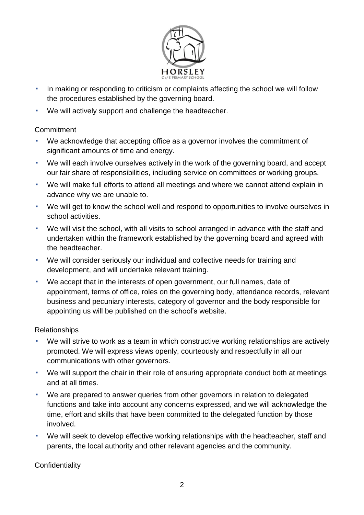

- In making or responding to criticism or complaints affecting the school we will follow the procedures established by the governing board.
- We will actively support and challenge the headteacher.

### **Commitment**

- We acknowledge that accepting office as a governor involves the commitment of significant amounts of time and energy.
- We will each involve ourselves actively in the work of the governing board, and accept our fair share of responsibilities, including service on committees or working groups.
- We will make full efforts to attend all meetings and where we cannot attend explain in advance why we are unable to.
- We will get to know the school well and respond to opportunities to involve ourselves in school activities.
- We will visit the school, with all visits to school arranged in advance with the staff and undertaken within the framework established by the governing board and agreed with the headteacher.
- We will consider seriously our individual and collective needs for training and development, and will undertake relevant training.
- We accept that in the interests of open government, our full names, date of appointment, terms of office, roles on the governing body, attendance records, relevant business and pecuniary interests, category of governor and the body responsible for appointing us will be published on the school's website.

## Relationships

- We will strive to work as a team in which constructive working relationships are actively promoted. We will express views openly, courteously and respectfully in all our communications with other governors.
- We will support the chair in their role of ensuring appropriate conduct both at meetings and at all times.
- We are prepared to answer queries from other governors in relation to delegated functions and take into account any concerns expressed, and we will acknowledge the time, effort and skills that have been committed to the delegated function by those involved.
- We will seek to develop effective working relationships with the headteacher, staff and parents, the local authority and other relevant agencies and the community.

**Confidentiality**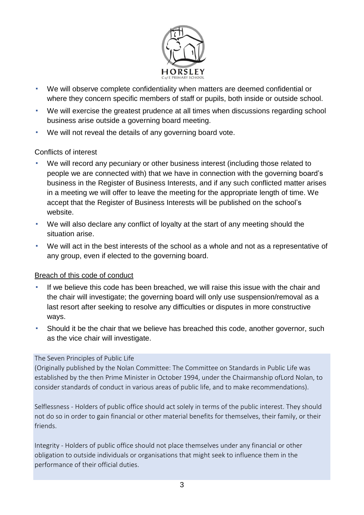

- We will observe complete confidentiality when matters are deemed confidential or where they concern specific members of staff or pupils, both inside or outside school.
- We will exercise the greatest prudence at all times when discussions regarding school business arise outside a governing board meeting.
- We will not reveal the details of any governing board vote.

## Conflicts of interest

- We will record any pecuniary or other business interest (including those related to people we are connected with) that we have in connection with the governing board's business in the Register of Business Interests, and if any such conflicted matter arises in a meeting we will offer to leave the meeting for the appropriate length of time. We accept that the Register of Business Interests will be published on the school's website.
- We will also declare any conflict of loyalty at the start of any meeting should the situation arise.
- We will act in the best interests of the school as a whole and not as a representative of any group, even if elected to the governing board.

### Breach of this code of conduct

- If we believe this code has been breached, we will raise this issue with the chair and the chair will investigate; the governing board will only use suspension/removal as a last resort after seeking to resolve any difficulties or disputes in more constructive ways.
- Should it be the chair that we believe has breached this code, another governor, such as the vice chair will investigate.

### The Seven Principles of Public Life

(Originally published by the Nolan Committee: The Committee on Standards in Public Life was established by the then Prime Minister in October 1994, under the Chairmanship ofLord Nolan, to consider standards of conduct in various areas of public life, and to make recommendations).

Selflessness - Holders of public office should act solely in terms of the public interest. They should not do so in order to gain financial or other material benefits for themselves, their family, or their friends.

Integrity - Holders of public office should not place themselves under any financial or other obligation to outside individuals or organisations that might seek to influence them in the performance of their official duties.